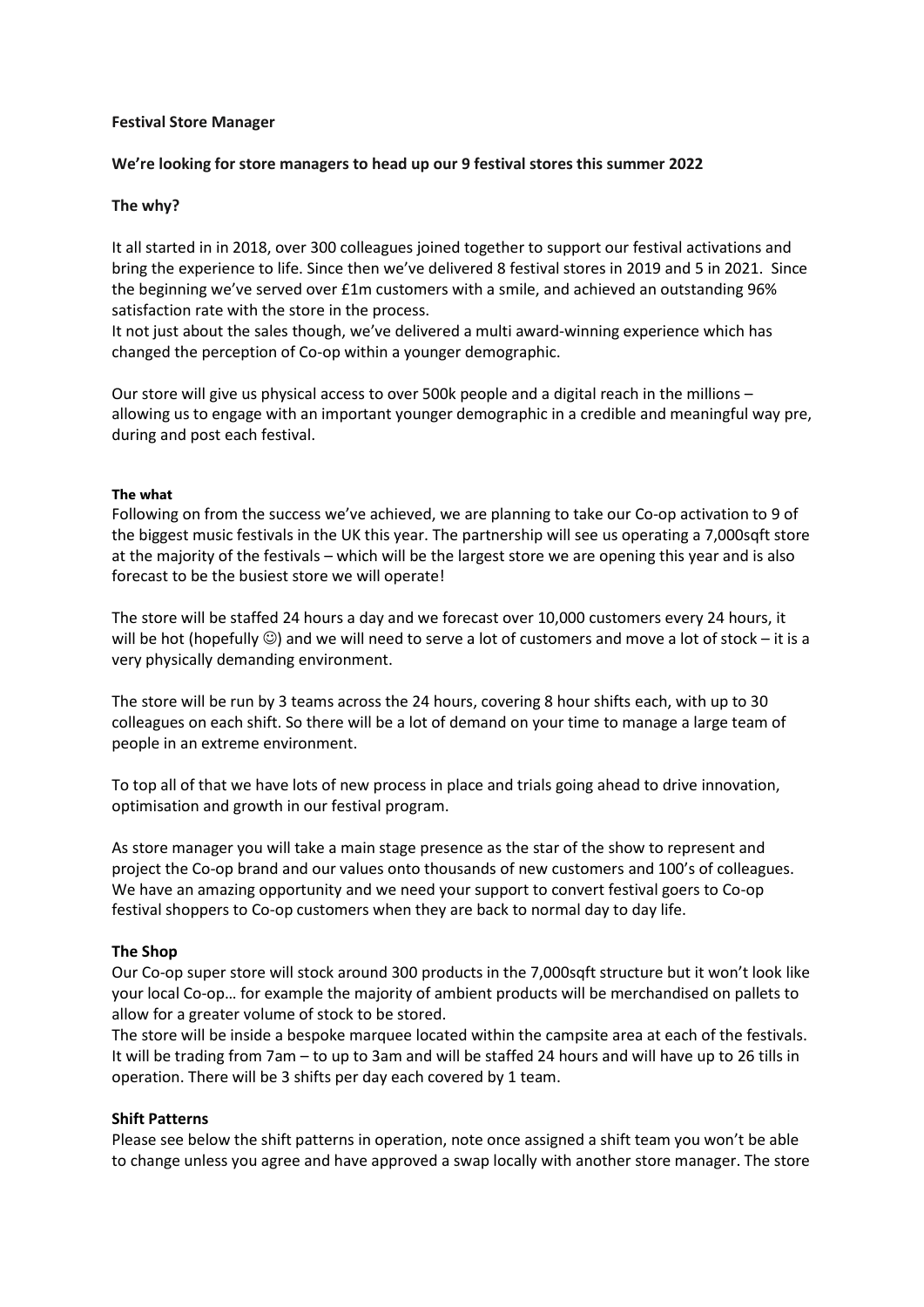#### **Festival Store Manager**

#### **We're looking for store managers to head up our 9 festival stores this summer 2022**

#### **The why?**

It all started in in 2018, over 300 colleagues joined together to support our festival activations and bring the experience to life. Since then we've delivered 8 festival stores in 2019 and 5 in 2021. Since the beginning we've served over £1m customers with a smile, and achieved an outstanding 96% satisfaction rate with the store in the process.

It not just about the sales though, we've delivered a multi award-winning experience which has changed the perception of Co-op within a younger demographic.

Our store will give us physical access to over 500k people and a digital reach in the millions – allowing us to engage with an important younger demographic in a credible and meaningful way pre, during and post each festival.

#### **The what**

Following on from the success we've achieved, we are planning to take our Co-op activation to 9 of the biggest music festivals in the UK this year. The partnership will see us operating a 7,000sqft store at the majority of the festivals – which will be the largest store we are opening this year and is also forecast to be the busiest store we will operate!

The store will be staffed 24 hours a day and we forecast over 10,000 customers every 24 hours, it will be hot (hopefully  $\circledcirc$ ) and we will need to serve a lot of customers and move a lot of stock – it is a very physically demanding environment.

The store will be run by 3 teams across the 24 hours, covering 8 hour shifts each, with up to 30 colleagues on each shift. So there will be a lot of demand on your time to manage a large team of people in an extreme environment.

To top all of that we have lots of new process in place and trials going ahead to drive innovation, optimisation and growth in our festival program.

As store manager you will take a main stage presence as the star of the show to represent and project the Co-op brand and our values onto thousands of new customers and 100's of colleagues. We have an amazing opportunity and we need your support to convert festival goers to Co-op festival shoppers to Co-op customers when they are back to normal day to day life.

### **The Shop**

Our Co-op super store will stock around 300 products in the 7,000sqft structure but it won't look like your local Co-op… for example the majority of ambient products will be merchandised on pallets to allow for a greater volume of stock to be stored.

The store will be inside a bespoke marquee located within the campsite area at each of the festivals. It will be trading from 7am – to up to 3am and will be staffed 24 hours and will have up to 26 tills in operation. There will be 3 shifts per day each covered by 1 team.

#### **Shift Patterns**

Please see below the shift patterns in operation, note once assigned a shift team you won't be able to change unless you agree and have approved a swap locally with another store manager. The store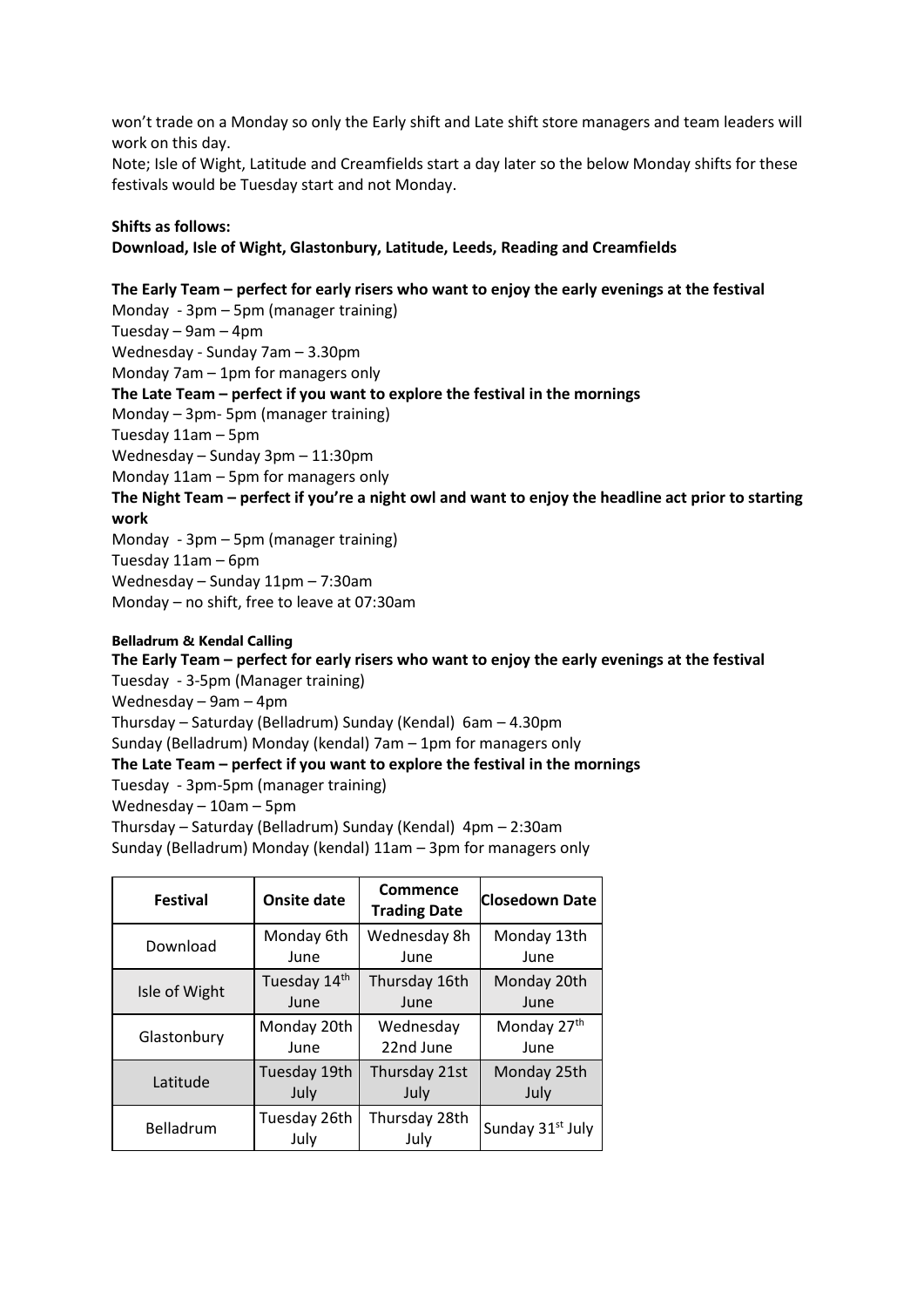won't trade on a Monday so only the Early shift and Late shift store managers and team leaders will work on this day.

Note; Isle of Wight, Latitude and Creamfields start a day later so the below Monday shifts for these festivals would be Tuesday start and not Monday.

#### **Shifts as follows:**

**Download, Isle of Wight, Glastonbury, Latitude, Leeds, Reading and Creamfields** 

## **The Early Team – perfect for early risers who want to enjoy the early evenings at the festival**

Monday - 3pm – 5pm (manager training) Tuesday – 9am – 4pm Wednesday - Sunday 7am – 3.30pm Monday 7am – 1pm for managers only **The Late Team – perfect if you want to explore the festival in the mornings** Monday – 3pm- 5pm (manager training) Tuesday 11am – 5pm Wednesday – Sunday 3pm – 11:30pm Monday 11am – 5pm for managers only **The Night Team – perfect if you're a night owl and want to enjoy the headline act prior to starting work** Monday - 3pm – 5pm (manager training) Tuesday 11am – 6pm Wednesday – Sunday 11pm – 7:30am

Monday – no shift, free to leave at 07:30am

#### **Belladrum & Kendal Calling**

# **The Early Team – perfect for early risers who want to enjoy the early evenings at the festival** Tuesday - 3-5pm (Manager training) Wednesday – 9am – 4pm

Thursday – Saturday (Belladrum) Sunday (Kendal) 6am – 4.30pm

Sunday (Belladrum) Monday (kendal) 7am – 1pm for managers only

## **The Late Team – perfect if you want to explore the festival in the mornings**

Tuesday - 3pm-5pm (manager training)

Wednesday – 10am – 5pm

Thursday – Saturday (Belladrum) Sunday (Kendal) 4pm – 2:30am

Sunday (Belladrum) Monday (kendal) 11am – 3pm for managers only

| <b>Festival</b> | Onsite date          | Commence<br><b>Trading Date</b> | <b>Closedown Date</b>        |
|-----------------|----------------------|---------------------------------|------------------------------|
| Download        | Monday 6th           | Wednesday 8h                    | Monday 13th                  |
|                 | June                 | June                            | June                         |
| Isle of Wight   | Tuesday 14th         | Thursday 16th                   | Monday 20th                  |
|                 | June                 | June                            | June                         |
| Glastonbury     | Monday 20th          | Wednesday                       | Monday 27th                  |
|                 | June                 | 22nd June                       | June                         |
| Latitude        | Tuesday 19th         | Thursday 21st                   | Monday 25th                  |
|                 | July                 | July                            | July                         |
| Belladrum       | Tuesday 26th<br>July | Thursday 28th<br>July           | Sunday 31 <sup>st</sup> July |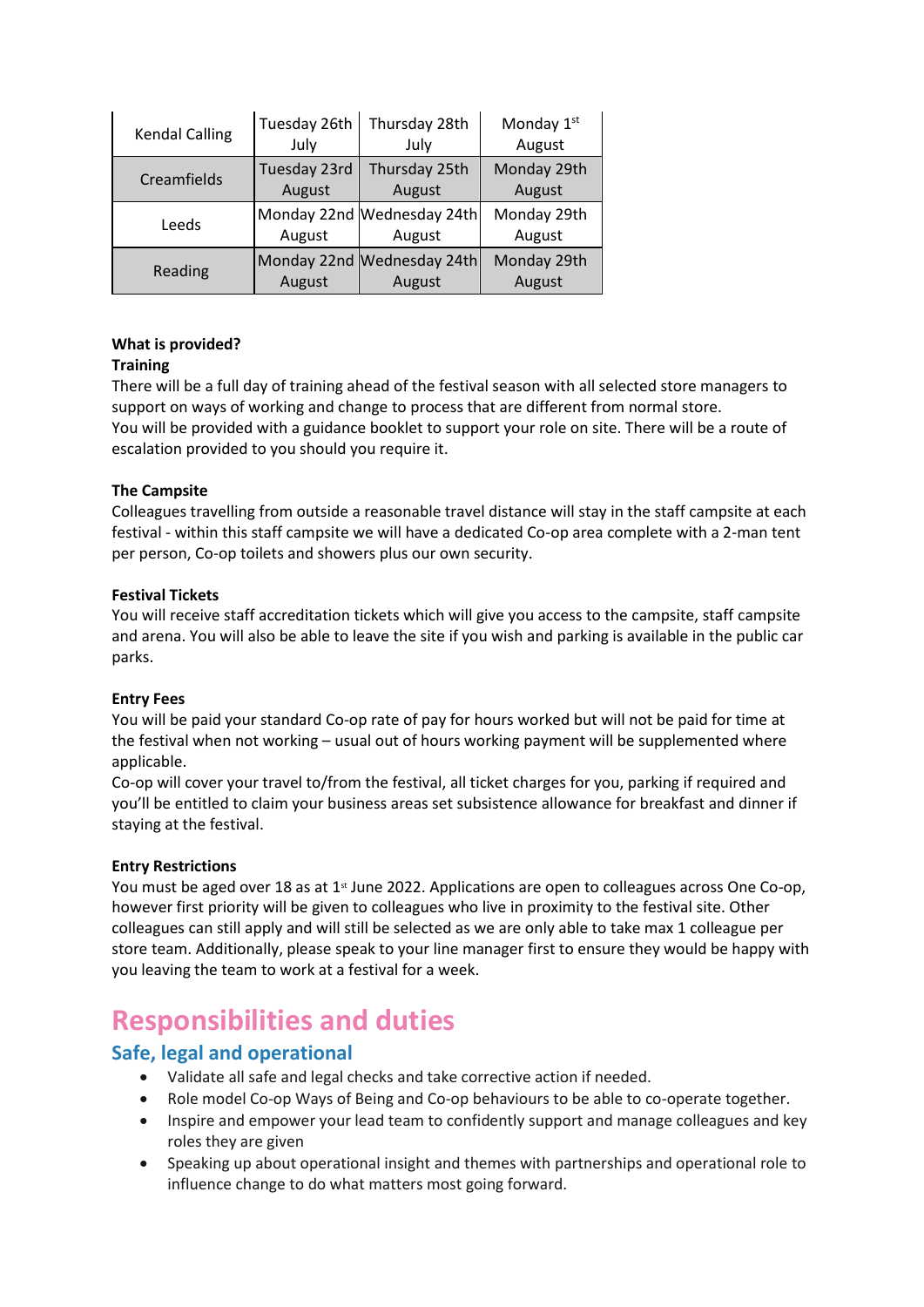| <b>Kendal Calling</b> | Tuesday 26th | Thursday 28th                        | Monday 1st            |
|-----------------------|--------------|--------------------------------------|-----------------------|
|                       | July         | July                                 | August                |
| Creamfields           | Tuesday 23rd | Thursday 25th                        | Monday 29th           |
|                       | August       | August                               | August                |
| Leeds                 | August       | Monday 22nd Wednesday 24th<br>August | Monday 29th<br>August |
| Reading               | August       | Monday 22nd Wednesday 24th<br>August | Monday 29th<br>August |

## **What is provided?**

## **Training**

There will be a full day of training ahead of the festival season with all selected store managers to support on ways of working and change to process that are different from normal store. You will be provided with a guidance booklet to support your role on site. There will be a route of escalation provided to you should you require it.

## **The Campsite**

Colleagues travelling from outside a reasonable travel distance will stay in the staff campsite at each festival - within this staff campsite we will have a dedicated Co-op area complete with a 2-man tent per person, Co-op toilets and showers plus our own security.

## **Festival Tickets**

You will receive staff accreditation tickets which will give you access to the campsite, staff campsite and arena. You will also be able to leave the site if you wish and parking is available in the public car parks.

### **Entry Fees**

You will be paid your standard Co-op rate of pay for hours worked but will not be paid for time at the festival when not working – usual out of hours working payment will be supplemented where applicable.

Co-op will cover your travel to/from the festival, all ticket charges for you, parking if required and you'll be entitled to claim your business areas set subsistence allowance for breakfast and dinner if staying at the festival.

### **Entry Restrictions**

You must be aged over 18 as at 1<sup>st</sup> June 2022. Applications are open to colleagues across One Co-op, however first priority will be given to colleagues who live in proximity to the festival site. Other colleagues can still apply and will still be selected as we are only able to take max 1 colleague per store team. Additionally, please speak to your line manager first to ensure they would be happy with you leaving the team to work at a festival for a week.

# **Responsibilities and duties**

# **Safe, legal and operational**

- Validate all safe and legal checks and take corrective action if needed.
- Role model Co-op Ways of Being and Co-op behaviours to be able to co-operate together.
- Inspire and empower your lead team to confidently support and manage colleagues and key roles they are given
- Speaking up about operational insight and themes with partnerships and operational role to influence change to do what matters most going forward.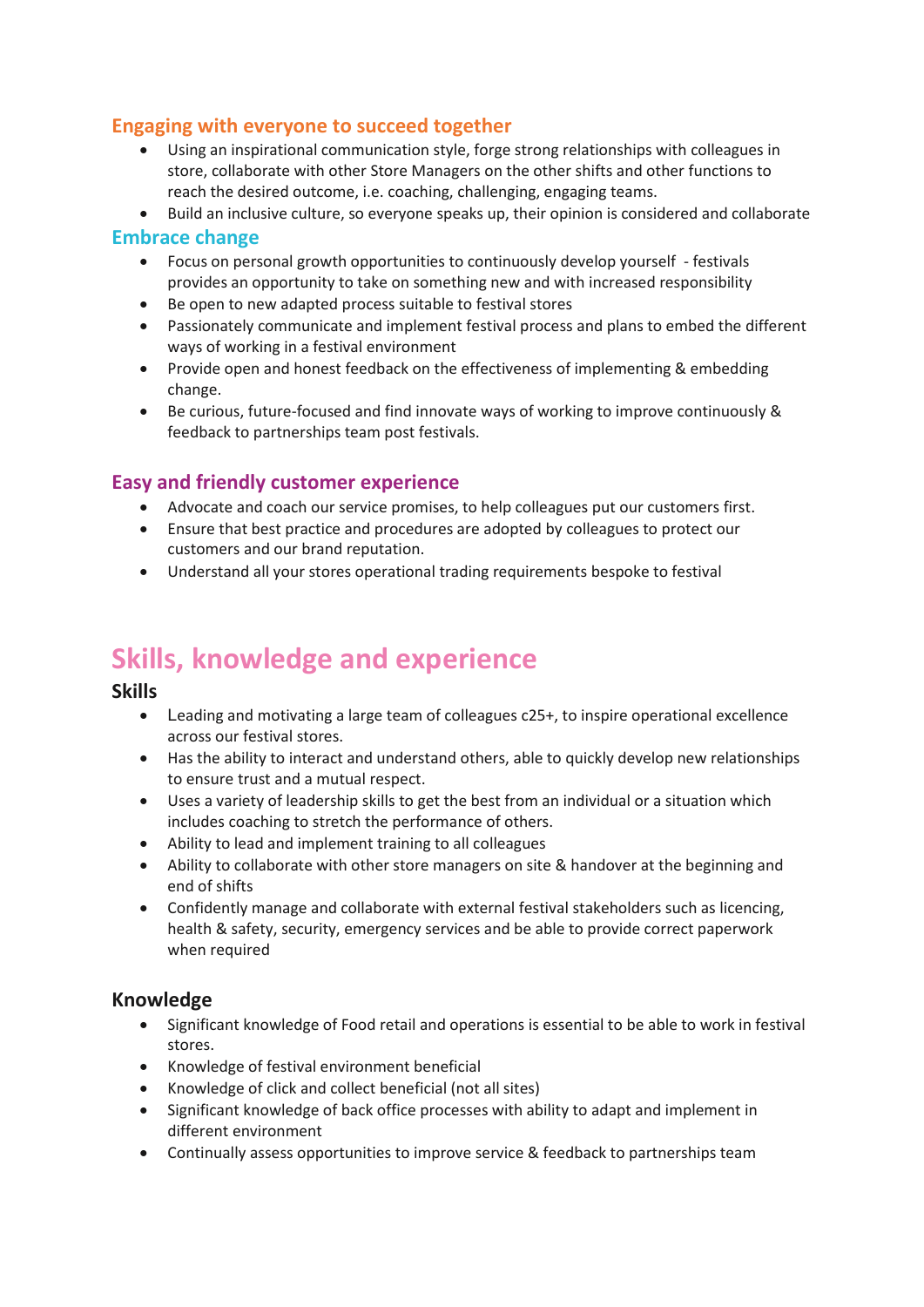# **Engaging with everyone to succeed together**

- Using an inspirational communication style, forge strong relationships with colleagues in store, collaborate with other Store Managers on the other shifts and other functions to reach the desired outcome, i.e. coaching, challenging, engaging teams.
- Build an inclusive culture, so everyone speaks up, their opinion is considered and collaborate

## **Embrace change**

- Focus on personal growth opportunities to continuously develop yourself festivals provides an opportunity to take on something new and with increased responsibility
- Be open to new adapted process suitable to festival stores
- Passionately communicate and implement festival process and plans to embed the different ways of working in a festival environment
- Provide open and honest feedback on the effectiveness of implementing & embedding change.
- Be curious, future-focused and find innovate ways of working to improve continuously & feedback to partnerships team post festivals.

# **Easy and friendly customer experience**

- Advocate and coach our service promises, to help colleagues put our customers first.
- Ensure that best practice and procedures are adopted by colleagues to protect our customers and our brand reputation.
- Understand all your stores operational trading requirements bespoke to festival

# **Skills, knowledge and experience**

## **Skills**

- Leading and motivating a large team of colleagues c25+, to inspire operational excellence across our festival stores.
- Has the ability to interact and understand others, able to quickly develop new relationships to ensure trust and a mutual respect.
- Uses a variety of leadership skills to get the best from an individual or a situation which includes coaching to stretch the performance of others.
- Ability to lead and implement training to all colleagues
- Ability to collaborate with other store managers on site & handover at the beginning and end of shifts
- Confidently manage and collaborate with external festival stakeholders such as licencing, health & safety, security, emergency services and be able to provide correct paperwork when required

# **Knowledge**

- Significant knowledge of Food retail and operations is essential to be able to work in festival stores.
- Knowledge of festival environment beneficial
- Knowledge of click and collect beneficial (not all sites)
- Significant knowledge of back office processes with ability to adapt and implement in different environment
- Continually assess opportunities to improve service & feedback to partnerships team